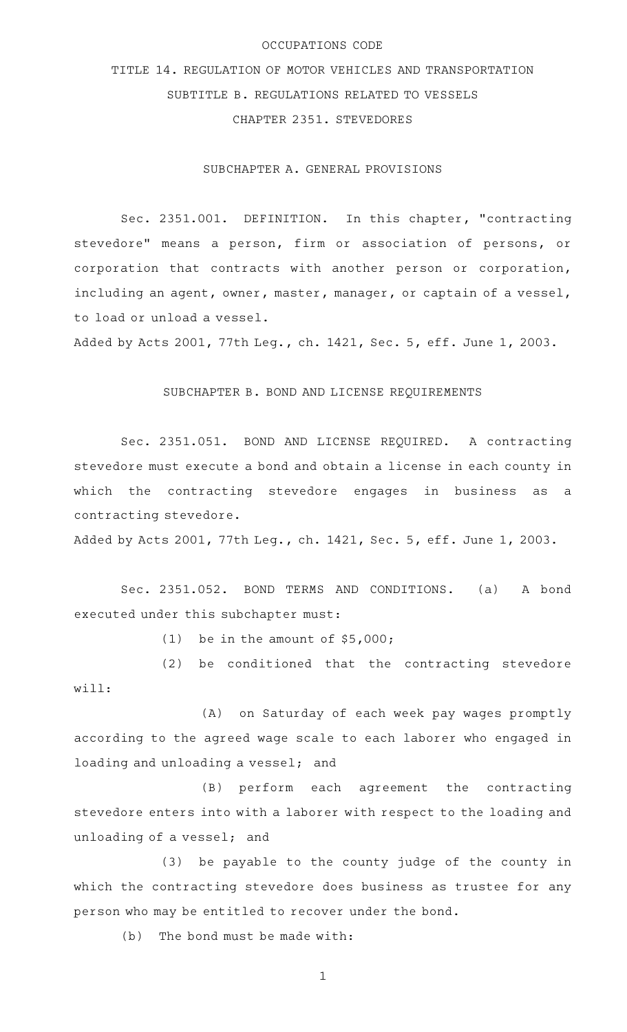## OCCUPATIONS CODE

TITLE 14. REGULATION OF MOTOR VEHICLES AND TRANSPORTATION SUBTITLE B. REGULATIONS RELATED TO VESSELS CHAPTER 2351. STEVEDORES

SUBCHAPTER A. GENERAL PROVISIONS

Sec. 2351.001. DEFINITION. In this chapter, "contracting stevedore" means a person, firm or association of persons, or corporation that contracts with another person or corporation, including an agent, owner, master, manager, or captain of a vessel, to load or unload a vessel.

Added by Acts 2001, 77th Leg., ch. 1421, Sec. 5, eff. June 1, 2003.

## SUBCHAPTER B. BOND AND LICENSE REQUIREMENTS

Sec. 2351.051. BOND AND LICENSE REQUIRED. A contracting stevedore must execute a bond and obtain a license in each county in which the contracting stevedore engages in business as a contracting stevedore.

Added by Acts 2001, 77th Leg., ch. 1421, Sec. 5, eff. June 1, 2003.

Sec. 2351.052. BOND TERMS AND CONDITIONS. (a) A bond executed under this subchapter must:

(1) be in the amount of  $$5,000;$ 

(2) be conditioned that the contracting stevedore will:

(A) on Saturday of each week pay wages promptly according to the agreed wage scale to each laborer who engaged in loading and unloading a vessel; and

(B) perform each agreement the contracting stevedore enters into with a laborer with respect to the loading and unloading of a vessel; and

(3) be payable to the county judge of the county in which the contracting stevedore does business as trustee for any person who may be entitled to recover under the bond.

 $(b)$  The bond must be made with:

1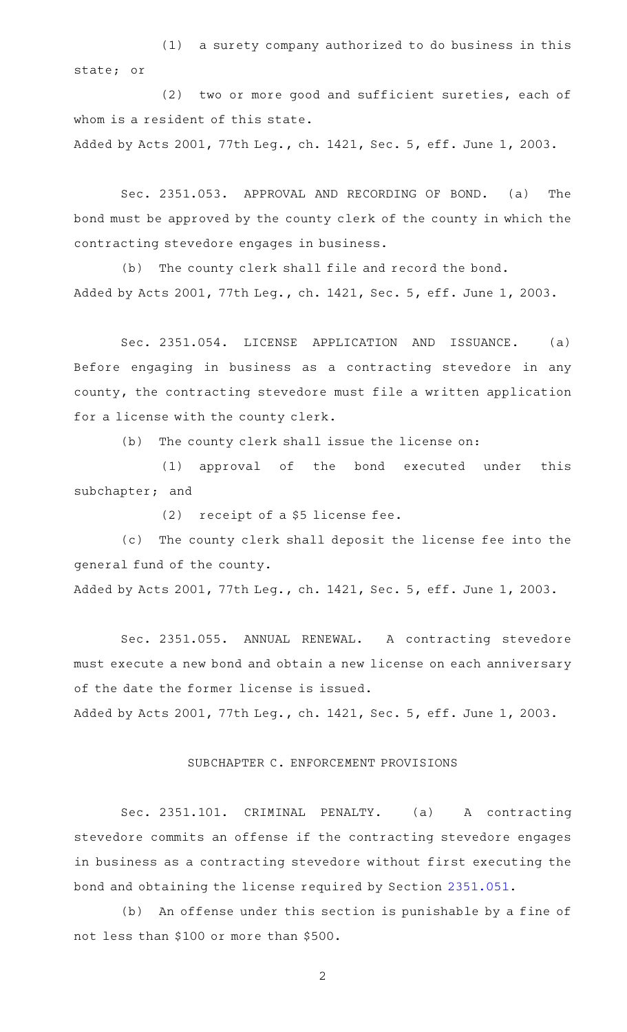$(1)$  a surety company authorized to do business in this state; or

(2) two or more good and sufficient sureties, each of whom is a resident of this state.

Added by Acts 2001, 77th Leg., ch. 1421, Sec. 5, eff. June 1, 2003.

Sec. 2351.053. APPROVAL AND RECORDING OF BOND. (a) The bond must be approved by the county clerk of the county in which the contracting stevedore engages in business.

(b) The county clerk shall file and record the bond. Added by Acts 2001, 77th Leg., ch. 1421, Sec. 5, eff. June 1, 2003.

Sec. 2351.054. LICENSE APPLICATION AND ISSUANCE. (a) Before engaging in business as a contracting stevedore in any county, the contracting stevedore must file a written application for a license with the county clerk.

(b) The county clerk shall issue the license on:

(1) approval of the bond executed under this subchapter; and

(2) receipt of a  $$5$  license fee.

(c) The county clerk shall deposit the license fee into the general fund of the county.

Added by Acts 2001, 77th Leg., ch. 1421, Sec. 5, eff. June 1, 2003.

Sec. 2351.055. ANNUAL RENEWAL. A contracting stevedore must execute a new bond and obtain a new license on each anniversary of the date the former license is issued.

Added by Acts 2001, 77th Leg., ch. 1421, Sec. 5, eff. June 1, 2003.

## SUBCHAPTER C. ENFORCEMENT PROVISIONS

Sec. 2351.101. CRIMINAL PENALTY. (a) A contracting stevedore commits an offense if the contracting stevedore engages in business as a contracting stevedore without first executing the bond and obtaining the license required by Section [2351.051](http://www.statutes.legis.state.tx.us/GetStatute.aspx?Code=OC&Value=2351.051).

(b) An offense under this section is punishable by a fine of not less than \$100 or more than \$500.

2